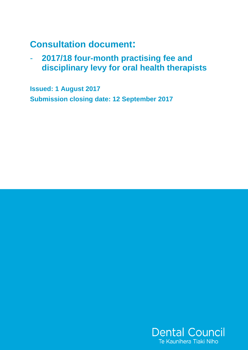# **Consultation document:**

- **2017/18 four-month practising fee and disciplinary levy for oral health therapists** 

**Issued: 1 August 2017 Submission closing date: 12 September 2017** 

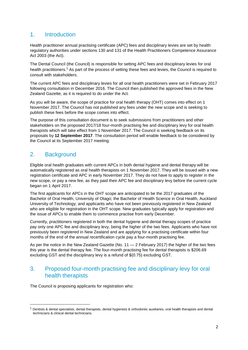## 1. Introduction

Health practitioner annual practising certificate (APC) fees and disciplinary levies are set by health regulatory authorities under sections 130 and 131 of the Health Practitioners Competence Assurance Act 2003 (the Act).

The Dental Council (the Council) is responsible for setting APC fees and disciplinary levies for oral health practitioners.<sup>1</sup> As part of the process of setting these fees and levies, the Council is required to consult with stakeholders.

The current APC fees and disciplinary levies for all oral health practitioners were set in February 2017 following consultation in December 2016. The Council then published the approved fees in the New Zealand Gazette, as it is required to do under the Act.

As you will be aware, the scope of practice for oral health therapy (OHT) comes into effect on 1 November 2017. The Council has not published any fees under the new scope and is seeking to publish these fees before the scope comes into effect.

The purpose of this consultation document is to seek submissions from practitioners and other stakeholders on the proposed 2017/18 four-month practising fee and disciplinary levy for oral health therapists which will take effect from 1 November 2017. The Council is seeking feedback on its proposals by **12 September 2017**. The consultation period will enable feedback to be considered by the Council at its September 2017 meeting.

# 2. Background

 $\overline{a}$ 

Eligible oral health graduates with current APCs in both dental hygiene and dental therapy will be automatically registered as oral health therapists on 1 November 2017. They will be issued with a new registration certificate and APC in early November 2017. They do not have to apply to register in the new scope, or pay a new fee, as they paid their APC fee and disciplinary levy before the current cycle began on 1 April 2017.

The first applicants for APCs in the OHT scope are anticipated to be the 2017 graduates of the Bachelor of Oral Health, University of Otago; the Bachelor of Health Science in Oral Health, Auckland University of Technology; and applicants who have not been previously registered in New Zealand who are eligible for registration in the OHT scope. New graduates typically apply for registration and the issue of APCs to enable them to commence practise from early December.

Currently, practitioners registered in both the dental hygiene and dental therapy scopes of practice pay only one APC fee and disciplinary levy, being the higher of the two fees. Applicants who have not previously been registered in New Zealand and are applying for a practising certificate within four months of the end of the annual recertification cycle pay a four-month practising fee.

As per the notice in the New Zealand Gazette (No. 11 — 2 February 2017) the higher of the two fees this year is the dental therapy fee. The four-month practising fee for dental therapists is \$206.69 excluding GST and the disciplinary levy is a refund of \$(0.75) excluding GST.

### 3. Proposed four-month practising fee and disciplinary levy for oral health therapists

The Council is proposing applicants for registration who:

 $1$  Dentists & dental specialists, dental therapists, dental hygienists & orthodontic auxiliaries, oral health therapists and dental technicians & clinical dental technicians.